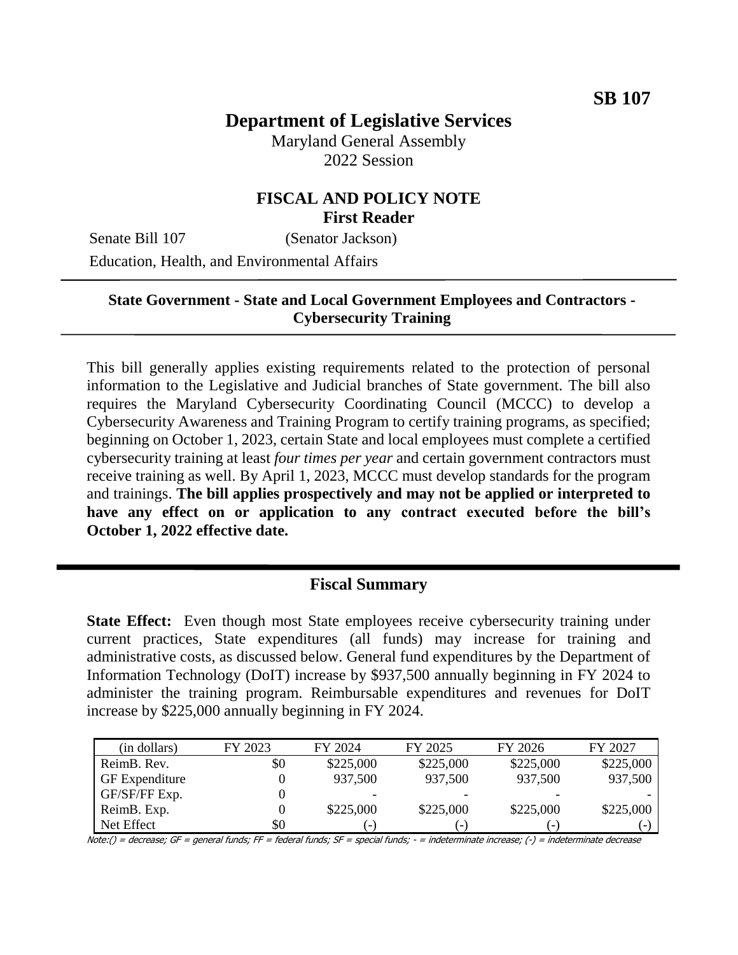# **Department of Legislative Services**

Maryland General Assembly 2022 Session

### **FISCAL AND POLICY NOTE First Reader**

Senate Bill 107 (Senator Jackson) Education, Health, and Environmental Affairs

#### **State Government - State and Local Government Employees and Contractors - Cybersecurity Training**

This bill generally applies existing requirements related to the protection of personal information to the Legislative and Judicial branches of State government. The bill also requires the Maryland Cybersecurity Coordinating Council (MCCC) to develop a Cybersecurity Awareness and Training Program to certify training programs, as specified; beginning on October 1, 2023, certain State and local employees must complete a certified cybersecurity training at least *four times per year* and certain government contractors must receive training as well. By April 1, 2023, MCCC must develop standards for the program and trainings. **The bill applies prospectively and may not be applied or interpreted to have any effect on or application to any contract executed before the bill's October 1, 2022 effective date.** 

#### **Fiscal Summary**

**State Effect:** Even though most State employees receive cybersecurity training under current practices, State expenditures (all funds) may increase for training and administrative costs, as discussed below. General fund expenditures by the Department of Information Technology (DoIT) increase by \$937,500 annually beginning in FY 2024 to administer the training program. Reimbursable expenditures and revenues for DoIT increase by \$225,000 annually beginning in FY 2024.

| (in dollars)          | FY 2023 | FY 2024                  | FY 2025                  | FY 2026                  | FY 2027   |
|-----------------------|---------|--------------------------|--------------------------|--------------------------|-----------|
| ReimB. Rev.           | \$0     | \$225,000                | \$225,000                | \$225,000                | \$225,000 |
| <b>GF</b> Expenditure |         | 937,500                  | 937,500                  | 937,500                  | 937,500   |
| GF/SF/FF Exp.         |         |                          |                          |                          |           |
| ReimB. Exp.           |         | \$225,000                | \$225,000                | \$225,000                | \$225,000 |
| Net Effect            | \$0     | $\overline{\phantom{0}}$ | $\overline{\phantom{a}}$ | $\overline{\phantom{a}}$ | i – I     |

Note:() = decrease; GF = general funds; FF = federal funds; SF = special funds; - = indeterminate increase; (-) = indeterminate decrease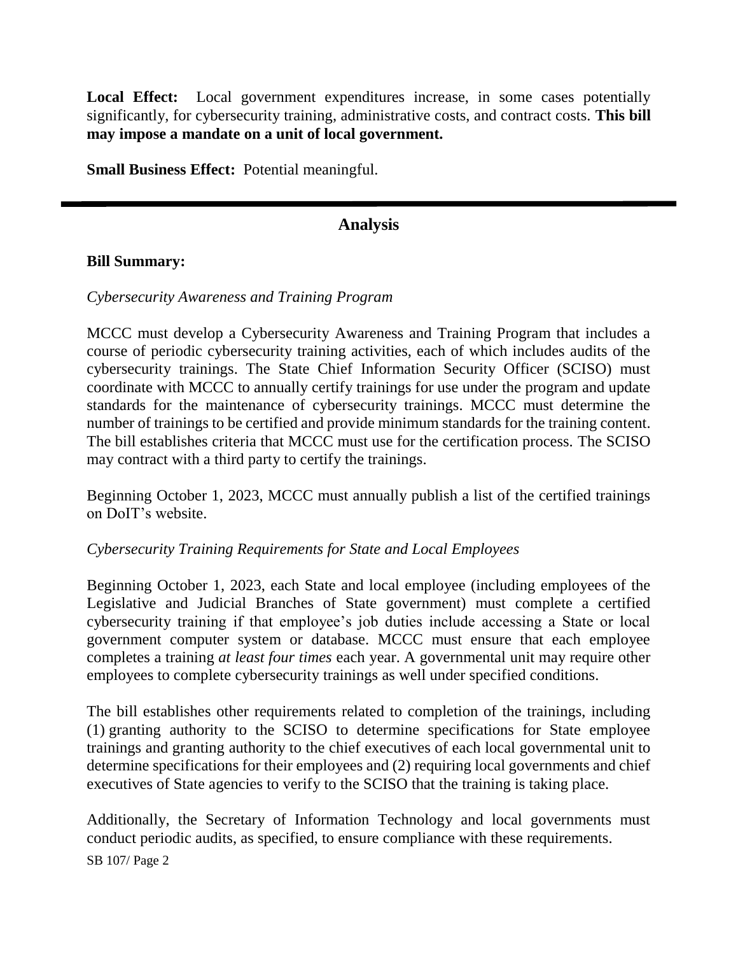**Local Effect:** Local government expenditures increase, in some cases potentially significantly, for cybersecurity training, administrative costs, and contract costs. **This bill may impose a mandate on a unit of local government.**

**Small Business Effect:** Potential meaningful.

# **Analysis**

#### **Bill Summary:**

#### *Cybersecurity Awareness and Training Program*

MCCC must develop a Cybersecurity Awareness and Training Program that includes a course of periodic cybersecurity training activities, each of which includes audits of the cybersecurity trainings. The State Chief Information Security Officer (SCISO) must coordinate with MCCC to annually certify trainings for use under the program and update standards for the maintenance of cybersecurity trainings. MCCC must determine the number of trainings to be certified and provide minimum standards for the training content. The bill establishes criteria that MCCC must use for the certification process. The SCISO may contract with a third party to certify the trainings.

Beginning October 1, 2023, MCCC must annually publish a list of the certified trainings on DoIT's website.

#### *Cybersecurity Training Requirements for State and Local Employees*

Beginning October 1, 2023, each State and local employee (including employees of the Legislative and Judicial Branches of State government) must complete a certified cybersecurity training if that employee's job duties include accessing a State or local government computer system or database. MCCC must ensure that each employee completes a training *at least four times* each year. A governmental unit may require other employees to complete cybersecurity trainings as well under specified conditions.

The bill establishes other requirements related to completion of the trainings, including (1) granting authority to the SCISO to determine specifications for State employee trainings and granting authority to the chief executives of each local governmental unit to determine specifications for their employees and (2) requiring local governments and chief executives of State agencies to verify to the SCISO that the training is taking place.

Additionally, the Secretary of Information Technology and local governments must conduct periodic audits, as specified, to ensure compliance with these requirements.

SB 107/ Page 2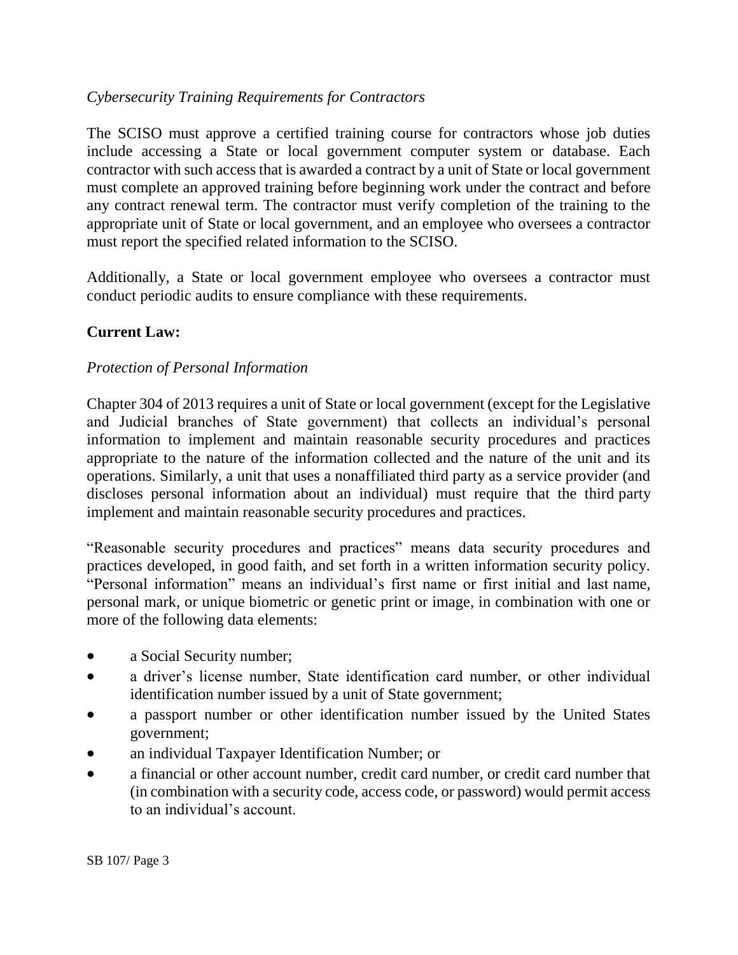## *Cybersecurity Training Requirements for Contractors*

The SCISO must approve a certified training course for contractors whose job duties include accessing a State or local government computer system or database. Each contractor with such access that is awarded a contract by a unit of State or local government must complete an approved training before beginning work under the contract and before any contract renewal term. The contractor must verify completion of the training to the appropriate unit of State or local government, and an employee who oversees a contractor must report the specified related information to the SCISO.

Additionally, a State or local government employee who oversees a contractor must conduct periodic audits to ensure compliance with these requirements.

## **Current Law:**

#### *Protection of Personal Information*

Chapter 304 of 2013 requires a unit of State or local government (except for the Legislative and Judicial branches of State government) that collects an individual's personal information to implement and maintain reasonable security procedures and practices appropriate to the nature of the information collected and the nature of the unit and its operations. Similarly, a unit that uses a nonaffiliated third party as a service provider (and discloses personal information about an individual) must require that the third party implement and maintain reasonable security procedures and practices.

"Reasonable security procedures and practices" means data security procedures and practices developed, in good faith, and set forth in a written information security policy. "Personal information" means an individual's first name or first initial and last name, personal mark, or unique biometric or genetic print or image, in combination with one or more of the following data elements:

- a Social Security number;
- a driver's license number, State identification card number, or other individual identification number issued by a unit of State government;
- a passport number or other identification number issued by the United States government;
- an individual Taxpayer Identification Number; or
- a financial or other account number, credit card number, or credit card number that (in combination with a security code, access code, or password) would permit access to an individual's account.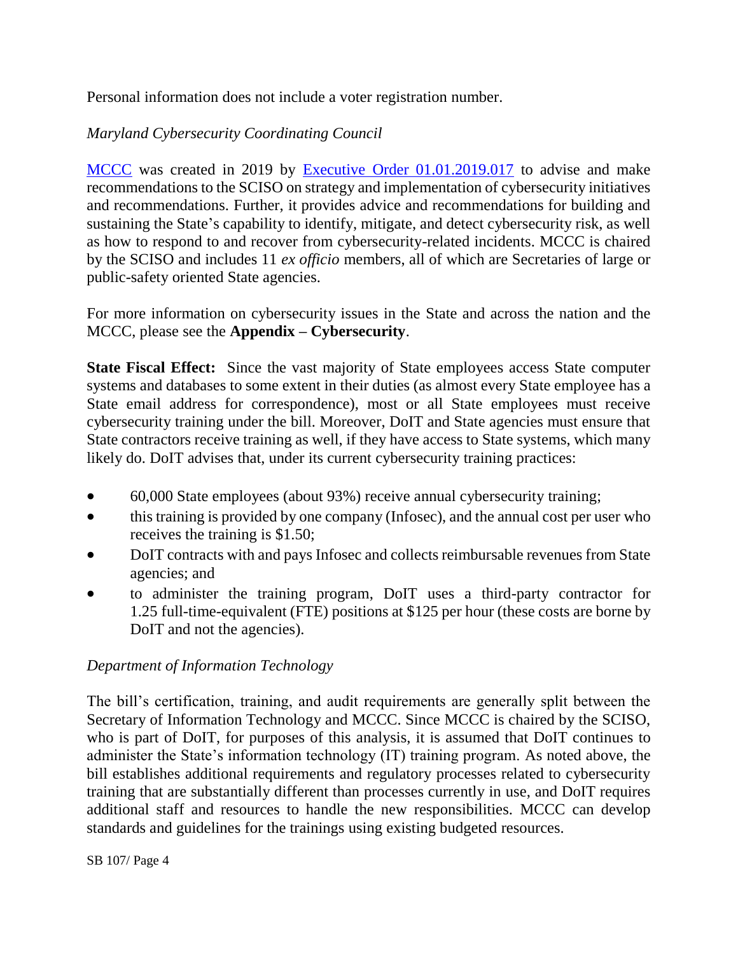Personal information does not include a voter registration number.

# *Maryland Cybersecurity Coordinating Council*

[MCCC](https://msa.maryland.gov/msa/mdmanual/26excom/html/10cybercoord.html) was created in 2019 by [Executive Order 01.01.2019.017](https://governor.maryland.gov/wp-content/uploads/2019/06/Maryland-Cyber-Defense-Initiative-EO-01.01.2019.07.pdf) to advise and make recommendations to the SCISO on strategy and implementation of cybersecurity initiatives and recommendations. Further, it provides advice and recommendations for building and sustaining the State's capability to identify, mitigate, and detect cybersecurity risk, as well as how to respond to and recover from cybersecurity-related incidents. MCCC is chaired by the SCISO and includes 11 *ex officio* members, all of which are Secretaries of large or public-safety oriented State agencies.

For more information on cybersecurity issues in the State and across the nation and the MCCC, please see the **Appendix – Cybersecurity**.

**State Fiscal Effect:** Since the vast majority of State employees access State computer systems and databases to some extent in their duties (as almost every State employee has a State email address for correspondence), most or all State employees must receive cybersecurity training under the bill. Moreover, DoIT and State agencies must ensure that State contractors receive training as well, if they have access to State systems, which many likely do. DoIT advises that, under its current cybersecurity training practices:

- 60,000 State employees (about 93%) receive annual cybersecurity training;
- this training is provided by one company (Infosec), and the annual cost per user who receives the training is \$1.50;
- DoIT contracts with and pays Infosec and collects reimbursable revenues from State agencies; and
- to administer the training program, DoIT uses a third-party contractor for 1.25 full-time-equivalent (FTE) positions at \$125 per hour (these costs are borne by DoIT and not the agencies).

#### *Department of Information Technology*

The bill's certification, training, and audit requirements are generally split between the Secretary of Information Technology and MCCC. Since MCCC is chaired by the SCISO, who is part of DoIT, for purposes of this analysis, it is assumed that DoIT continues to administer the State's information technology (IT) training program. As noted above, the bill establishes additional requirements and regulatory processes related to cybersecurity training that are substantially different than processes currently in use, and DoIT requires additional staff and resources to handle the new responsibilities. MCCC can develop standards and guidelines for the trainings using existing budgeted resources.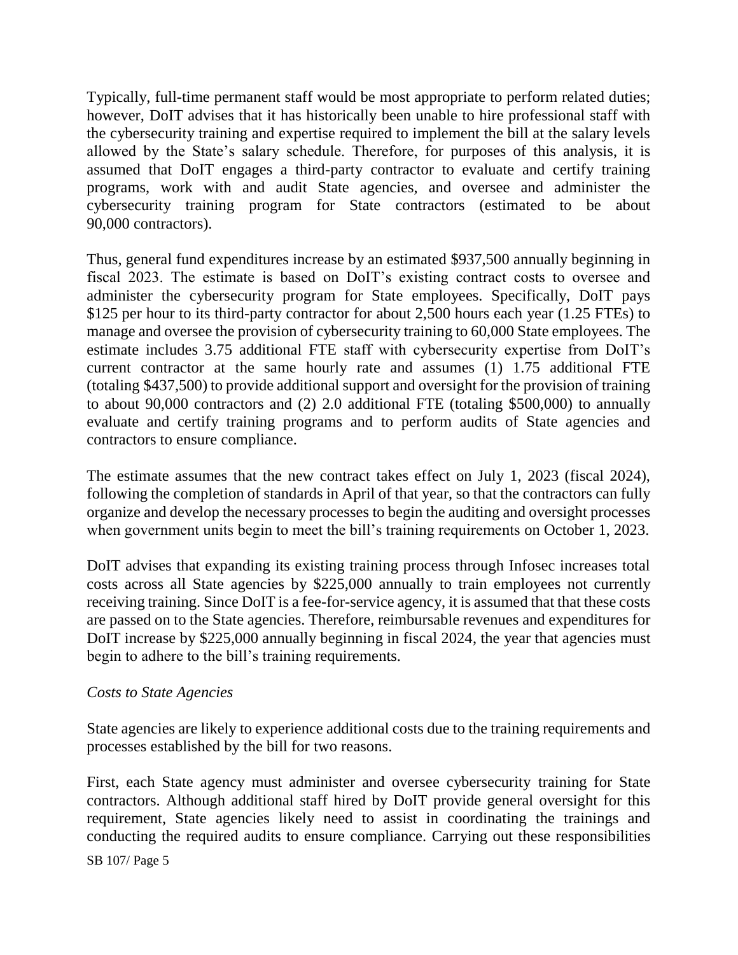Typically, full-time permanent staff would be most appropriate to perform related duties; however, DoIT advises that it has historically been unable to hire professional staff with the cybersecurity training and expertise required to implement the bill at the salary levels allowed by the State's salary schedule. Therefore, for purposes of this analysis, it is assumed that DoIT engages a third-party contractor to evaluate and certify training programs, work with and audit State agencies, and oversee and administer the cybersecurity training program for State contractors (estimated to be about 90,000 contractors).

Thus, general fund expenditures increase by an estimated \$937,500 annually beginning in fiscal 2023. The estimate is based on DoIT's existing contract costs to oversee and administer the cybersecurity program for State employees. Specifically, DoIT pays \$125 per hour to its third-party contractor for about 2,500 hours each year (1.25 FTEs) to manage and oversee the provision of cybersecurity training to 60,000 State employees. The estimate includes 3.75 additional FTE staff with cybersecurity expertise from DoIT's current contractor at the same hourly rate and assumes (1) 1.75 additional FTE (totaling \$437,500) to provide additional support and oversight for the provision of training to about 90,000 contractors and (2) 2.0 additional FTE (totaling \$500,000) to annually evaluate and certify training programs and to perform audits of State agencies and contractors to ensure compliance.

The estimate assumes that the new contract takes effect on July 1, 2023 (fiscal 2024), following the completion of standards in April of that year, so that the contractors can fully organize and develop the necessary processes to begin the auditing and oversight processes when government units begin to meet the bill's training requirements on October 1, 2023.

DoIT advises that expanding its existing training process through Infosec increases total costs across all State agencies by \$225,000 annually to train employees not currently receiving training. Since DoIT is a fee-for-service agency, it is assumed that that these costs are passed on to the State agencies. Therefore, reimbursable revenues and expenditures for DoIT increase by \$225,000 annually beginning in fiscal 2024, the year that agencies must begin to adhere to the bill's training requirements.

#### *Costs to State Agencies*

State agencies are likely to experience additional costs due to the training requirements and processes established by the bill for two reasons.

First, each State agency must administer and oversee cybersecurity training for State contractors. Although additional staff hired by DoIT provide general oversight for this requirement, State agencies likely need to assist in coordinating the trainings and conducting the required audits to ensure compliance. Carrying out these responsibilities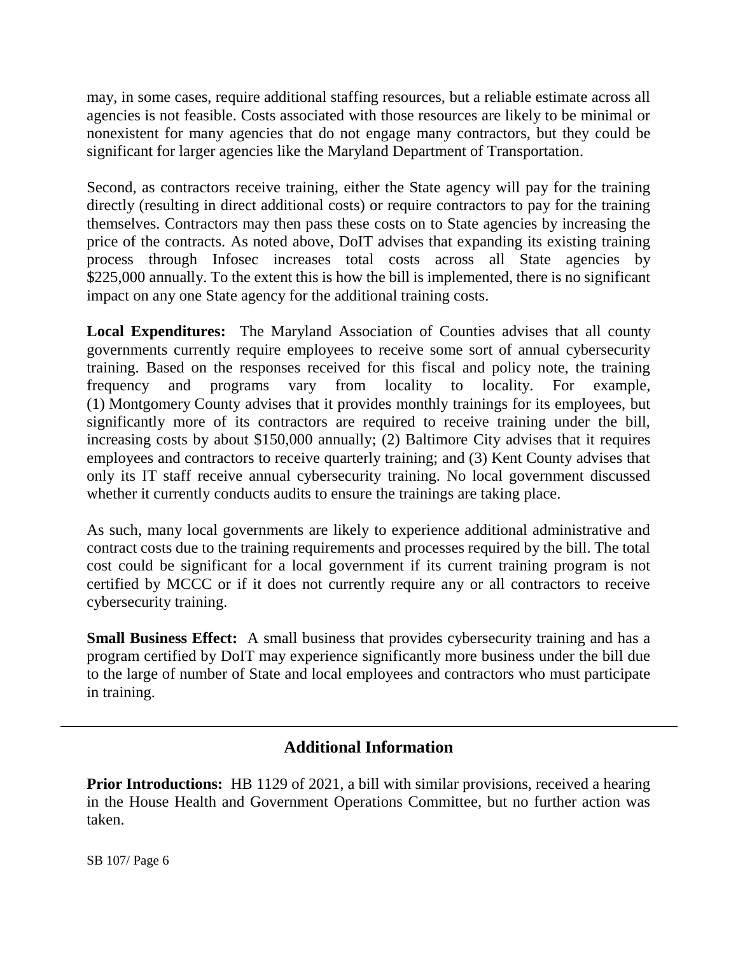may, in some cases, require additional staffing resources, but a reliable estimate across all agencies is not feasible. Costs associated with those resources are likely to be minimal or nonexistent for many agencies that do not engage many contractors, but they could be significant for larger agencies like the Maryland Department of Transportation.

Second, as contractors receive training, either the State agency will pay for the training directly (resulting in direct additional costs) or require contractors to pay for the training themselves. Contractors may then pass these costs on to State agencies by increasing the price of the contracts. As noted above, DoIT advises that expanding its existing training process through Infosec increases total costs across all State agencies by \$225,000 annually. To the extent this is how the bill is implemented, there is no significant impact on any one State agency for the additional training costs.

**Local Expenditures:** The Maryland Association of Counties advises that all county governments currently require employees to receive some sort of annual cybersecurity training. Based on the responses received for this fiscal and policy note, the training frequency and programs vary from locality to locality. For example, (1) Montgomery County advises that it provides monthly trainings for its employees, but significantly more of its contractors are required to receive training under the bill, increasing costs by about \$150,000 annually; (2) Baltimore City advises that it requires employees and contractors to receive quarterly training; and (3) Kent County advises that only its IT staff receive annual cybersecurity training. No local government discussed whether it currently conducts audits to ensure the trainings are taking place.

As such, many local governments are likely to experience additional administrative and contract costs due to the training requirements and processes required by the bill. The total cost could be significant for a local government if its current training program is not certified by MCCC or if it does not currently require any or all contractors to receive cybersecurity training.

**Small Business Effect:** A small business that provides cybersecurity training and has a program certified by DoIT may experience significantly more business under the bill due to the large of number of State and local employees and contractors who must participate in training.

## **Additional Information**

**Prior Introductions:** HB 1129 of 2021, a bill with similar provisions, received a hearing in the House Health and Government Operations Committee, but no further action was taken.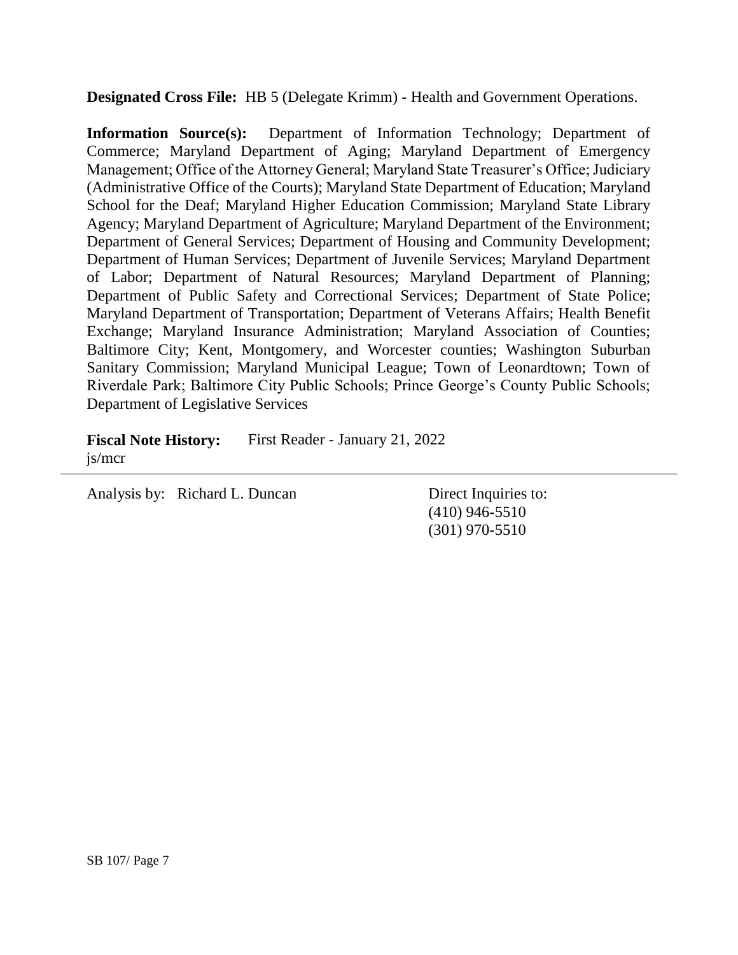**Designated Cross File:** HB 5 (Delegate Krimm) - Health and Government Operations.

**Information Source(s):** Department of Information Technology; Department of Commerce; Maryland Department of Aging; Maryland Department of Emergency Management; Office of the Attorney General; Maryland State Treasurer's Office; Judiciary (Administrative Office of the Courts); Maryland State Department of Education; Maryland School for the Deaf; Maryland Higher Education Commission; Maryland State Library Agency; Maryland Department of Agriculture; Maryland Department of the Environment; Department of General Services; Department of Housing and Community Development; Department of Human Services; Department of Juvenile Services; Maryland Department of Labor; Department of Natural Resources; Maryland Department of Planning; Department of Public Safety and Correctional Services; Department of State Police; Maryland Department of Transportation; Department of Veterans Affairs; Health Benefit Exchange; Maryland Insurance Administration; Maryland Association of Counties; Baltimore City; Kent, Montgomery, and Worcester counties; Washington Suburban Sanitary Commission; Maryland Municipal League; Town of Leonardtown; Town of Riverdale Park; Baltimore City Public Schools; Prince George's County Public Schools; Department of Legislative Services

**Fiscal Note History:** First Reader - January 21, 2022 js/mcr

Analysis by: Richard L. Duncan Direct Inquiries to:

(410) 946-5510 (301) 970-5510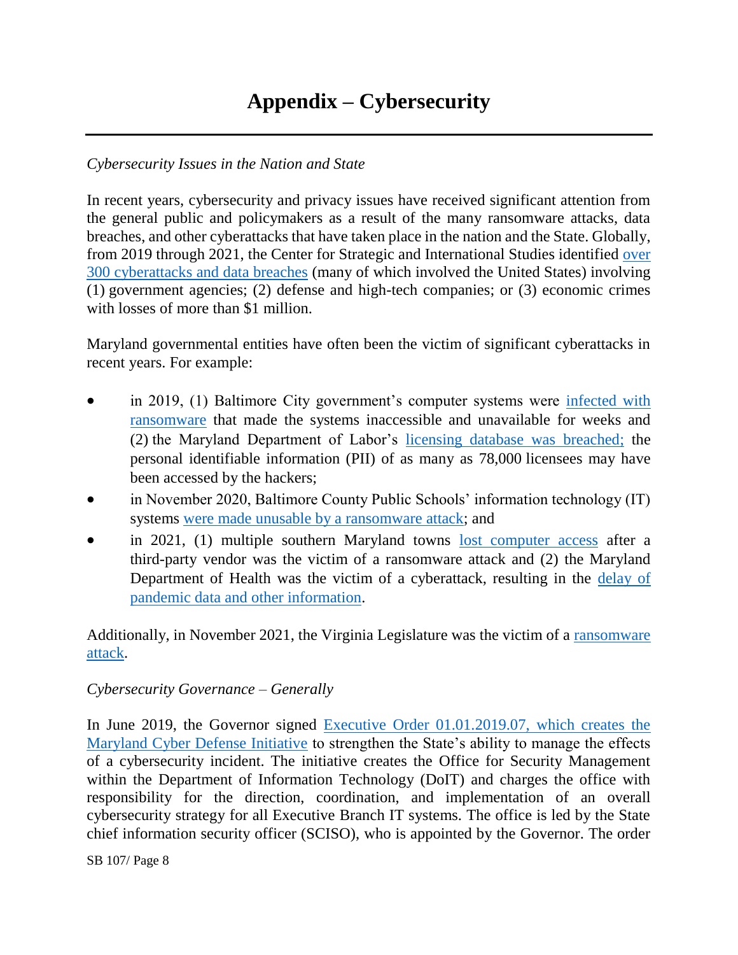# **Appendix – Cybersecurity**

#### *Cybersecurity Issues in the Nation and State*

In recent years, cybersecurity and privacy issues have received significant attention from the general public and policymakers as a result of the many ransomware attacks, data breaches, and other cyberattacks that have taken place in the nation and the State. Globally, from 2019 through 2021, the Center for Strategic and International Studies identified [over](https://www.csis.org/programs/strategic-technologies-program/significant-cyber-incidents)  [300 cyberattacks and data breaches](https://www.csis.org/programs/strategic-technologies-program/significant-cyber-incidents) (many of which involved the United States) involving (1) government agencies; (2) defense and high-tech companies; or (3) economic crimes with losses of more than \$1 million.

Maryland governmental entities have often been the victim of significant cyberattacks in recent years. For example:

- in 2019, (1) Baltimore City government's computer systems were [infected with](https://www.engadget.com/2019-05-08-baltimore-city-government-ransomware-attack.html)  [ransomware](https://www.engadget.com/2019-05-08-baltimore-city-government-ransomware-attack.html) that made the systems inaccessible and unavailable for weeks and (2) the Maryland Department of Labor's [licensing database was breached;](https://www.baltimoresun.com/business/bs-bz-department-of-labor-hacked-20190705-story.html) the personal identifiable information (PII) of as many as 78,000 licensees may have been accessed by the hackers;
- in November 2020, Baltimore County Public Schools' information technology (IT) systems [were made unusable by a ransomware attack;](https://www.bbc.com/news/technology-55129564) and
- in 2021, (1) multiple southern Maryland towns [lost computer access](https://www.thebaynet.com/articles/0721/multiple-southern-maryland-towns-hit-by-ransomware-attack-facing-lofty-demands.html) after a third-party vendor was the victim of a ransomware attack and (2) the Maryland Department of Health was the victim of a cyberattack, resulting in the delay of [pandemic data and other information.](https://www.baltimoresun.com/health/bs-hs-mdh-website-down-20211206-o2ky2sn5znb3pdwtnu2a7m5g6q-story.html)

Additionally, in November 2021, the Virginia Legislature was the victim of a ransomware [attack.](https://www.washingtonpost.com/dc-md-va/2021/12/13/virginia-general-assembly-cyber-attack/)

#### *Cybersecurity Governance – Generally*

In June 2019, the Governor signed [Executive Order 01.01.2019.07, which creates the](https://governor.maryland.gov/wp-content/uploads/2019/06/Maryland-Cyber-Defense-Initiative-EO-01.01.2019.07.pdf)  [Maryland Cyber Defense Initiative](https://governor.maryland.gov/wp-content/uploads/2019/06/Maryland-Cyber-Defense-Initiative-EO-01.01.2019.07.pdf) to strengthen the State's ability to manage the effects of a cybersecurity incident. The initiative creates the Office for Security Management within the Department of Information Technology (DoIT) and charges the office with responsibility for the direction, coordination, and implementation of an overall cybersecurity strategy for all Executive Branch IT systems. The office is led by the State chief information security officer (SCISO), who is appointed by the Governor. The order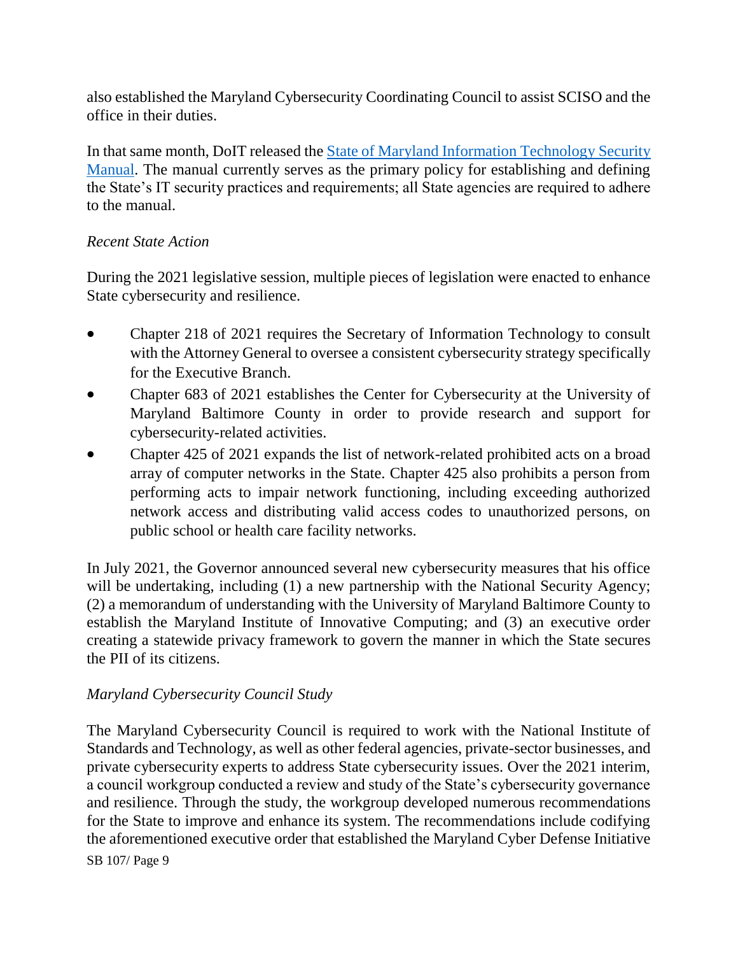also established the Maryland Cybersecurity Coordinating Council to assist SCISO and the office in their duties.

In that same month, DoIT released the **State of Maryland Information Technology Security** [Manual.](https://doit.maryland.gov/Documents/Maryland%20IT%20Security%20Manual%20v1.2.pdf) The manual currently serves as the primary policy for establishing and defining the State's IT security practices and requirements; all State agencies are required to adhere to the manual.

#### *Recent State Action*

During the 2021 legislative session, multiple pieces of legislation were enacted to enhance State cybersecurity and resilience.

- Chapter 218 of 2021 requires the Secretary of Information Technology to consult with the Attorney General to oversee a consistent cybersecurity strategy specifically for the Executive Branch.
- Chapter 683 of 2021 establishes the Center for Cybersecurity at the University of Maryland Baltimore County in order to provide research and support for cybersecurity-related activities.
- Chapter 425 of 2021 expands the list of network-related prohibited acts on a broad array of computer networks in the State. Chapter 425 also prohibits a person from performing acts to impair network functioning, including exceeding authorized network access and distributing valid access codes to unauthorized persons, on public school or health care facility networks.

In July 2021, the Governor announced several new cybersecurity measures that his office will be undertaking, including (1) a new partnership with the National Security Agency; (2) a memorandum of understanding with the University of Maryland Baltimore County to establish the Maryland Institute of Innovative Computing; and (3) an executive order creating a statewide privacy framework to govern the manner in which the State secures the PII of its citizens.

## *Maryland Cybersecurity Council Study*

SB 107/ Page 9 The Maryland Cybersecurity Council is required to work with the National Institute of Standards and Technology, as well as other federal agencies, private-sector businesses, and private cybersecurity experts to address State cybersecurity issues. Over the 2021 interim, a council workgroup conducted a review and study of the State's cybersecurity governance and resilience. Through the study, the workgroup developed numerous recommendations for the State to improve and enhance its system. The recommendations include codifying the aforementioned executive order that established the Maryland Cyber Defense Initiative